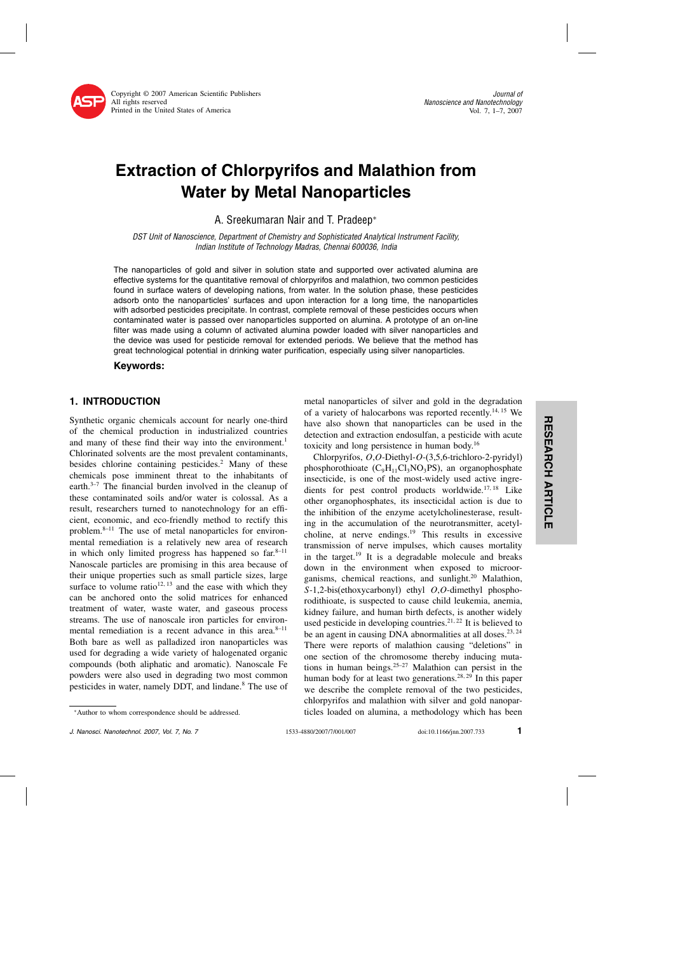

Copyright © 2007 American Scientific Publishers All rights reserved Printed in the United States of America

# Extraction of Chlorpyrifos and Malathion from Water by Metal Nanoparticles

A. Sreekumaran Nair and T. Pradeep<sup>∗</sup>

DST Unit of Nanoscience, Department of Chemistry and Sophisticated Analytical Instrument Facility, Indian Institute of Technology Madras, Chennai 600036, India

The nanoparticles of gold and silver in solution state and supported over activated alumina are effective systems for the quantitative removal of chlorpyrifos and malathion, two common pesticides found in surface waters of developing nations, from water. In the solution phase, these pesticides adsorb onto the nanoparticles' surfaces and upon interaction for a long time, the nanoparticles with adsorbed pesticides precipitate. In contrast, complete removal of these pesticides occurs when contaminated water is passed over nanoparticles supported on alumina. A prototype of an on-line filter was made using a column of activated alumina powder loaded with silver nanoparticles and the device was used for pesticide removal for extended periods. We believe that the method has great technological potential in drinking water purification, especially using silver nanoparticles.

### Keywords:

## 1. INTRODUCTION

Synthetic organic chemicals account for nearly one-third of the chemical production in industrialized countries and many of these find their way into the environment.<sup>1</sup> Chlorinated solvents are the most prevalent contaminants, besides chlorine containing pesticides.<sup>2</sup> Many of these chemicals pose imminent threat to the inhabitants of earth.<sup>3–7</sup> The financial burden involved in the cleanup of these contaminated soils and/or water is colossal.As a result, researchers turned to nanotechnology for an efficient, economic, and eco-friendly method to rectify this problem.8–11 The use of metal nanoparticles for environmental remediation is a relatively new area of research in which only limited progress has happened so  $far.^{8-11}$ Nanoscale particles are promising in this area because of their unique properties such as small particle sizes, large surface to volume ratio<sup>12, 13</sup> and the ease with which they can be anchored onto the solid matrices for enhanced treatment of water, waste water, and gaseous process streams.The use of nanoscale iron particles for environmental remediation is a recent advance in this area.<sup>8-11</sup> Both bare as well as palladized iron nanoparticles was used for degrading a wide variety of halogenated organic compounds (both aliphatic and aromatic). Nanoscale Fe powders were also used in degrading two most common pesticides in water, namely DDT, and lindane.8 The use of

metal nanoparticles of silver and gold in the degradation of a variety of halocarbons was reported recently.<sup>14, 15</sup> We have also shown that nanoparticles can be used in the detection and extraction endosulfan, a pesticide with acute toxicity and long persistence in human body.16

Chlorpyrifos, O,O-Diethyl-O-(3,5,6-trichloro-2-pyridyl) phosphorothioate  $(C_9H_{11}Cl_3NO_3PS)$ , an organophosphate insecticide, is one of the most-widely used active ingredients for pest control products worldwide.<sup>17,18</sup> Like other organophosphates, its insecticidal action is due to the inhibition of the enzyme acetylcholinesterase, resulting in the accumulation of the neurotransmitter, acetylcholine, at nerve endings. $19$  This results in excessive transmission of nerve impulses, which causes mortality in the target.<sup>19</sup> It is a degradable molecule and breaks down in the environment when exposed to microorganisms, chemical reactions, and sunlight. $20$  Malathion, S-1,2-bis(ethoxycarbonyl) ethyl O,O-dimethyl phosphorodithioate, is suspected to cause child leukemia, anemia, kidney failure, and human birth defects, is another widely used pesticide in developing countries.<sup>21, 22</sup> It is believed to be an agent in causing DNA abnormalities at all doses.<sup>23, 24</sup> There were reports of malathion causing "deletions" in one section of the chromosome thereby inducing mutations in human beings.<sup>25–27</sup> Malathion can persist in the human body for at least two generations.<sup>28, 29</sup> In this paper we describe the complete removal of the two pesticides, chlorpyrifos and malathion with silver and gold nanoparticles loaded on alumina, a methodology which has been

<sup>∗</sup>Author to whom correspondence should be addressed.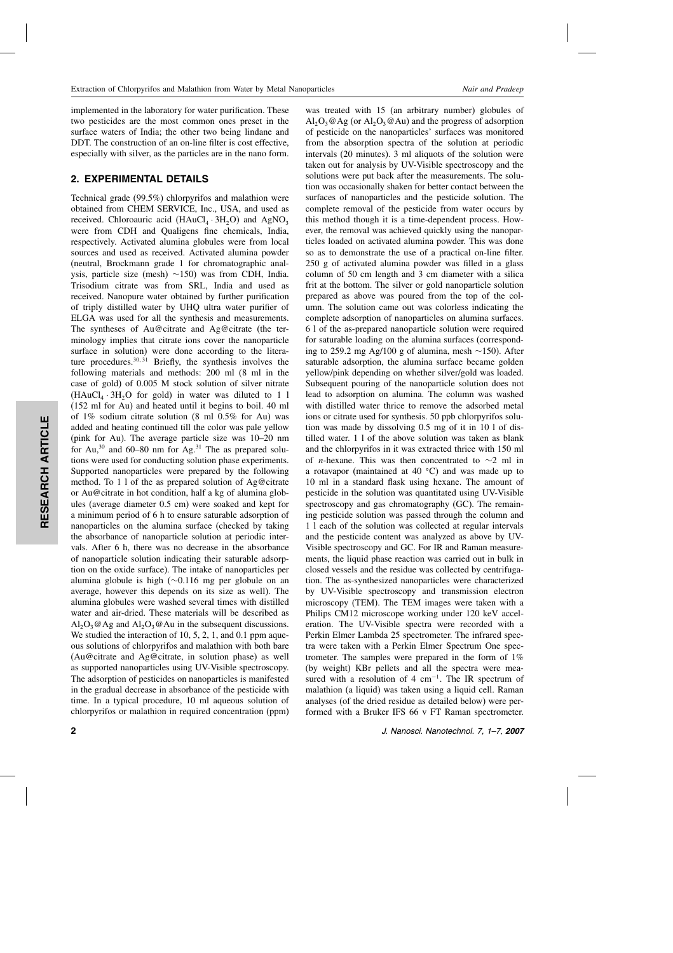implemented in the laboratory for water purification.These two pesticides are the most common ones preset in the surface waters of India; the other two being lindane and DDT. The construction of an on-line filter is cost effective. especially with silver, as the particles are in the nano form.

#### 2. EXPERIMENTAL DETAILS

Technical grade (99.5%) chlorpyrifos and malathion were obtained from CHEM SERVICE, Inc., USA, and used as received. Chloroauric acid  $(HAuCl<sub>4</sub> \cdot 3H<sub>2</sub>O)$  and AgNO<sub>3</sub> were from CDH and Qualigens fine chemicals, India, respectively. Activated alumina globules were from local sources and used as received. Activated alumina powder (neutral, Brockmann grade 1 for chromatographic analysis, particle size (mesh) ∼150) was from CDH, India. Trisodium citrate was from SRL, India and used as received. Nanopure water obtained by further purification of triply distilled water by UHQ ultra water purifier of ELGA was used for all the synthesis and measurements. The syntheses of Au@citrate and Ag@citrate (the terminology implies that citrate ions cover the nanoparticle surface in solution) were done according to the literature procedures. $30,31$  Briefly, the synthesis involves the following materials and methods: 200 ml (8 ml in the case of gold) of 0.005 M stock solution of silver nitrate  $(HAuCl<sub>4</sub> \cdot 3H<sub>2</sub>O$  for gold) in water was diluted to 1 l (152 ml for Au) and heated until it begins to boil.40 ml of 1% sodium citrate solution (8 ml 0.5% for Au) was added and heating continued till the color was pale yellow (pink for Au). The average particle size was 10–20 nm for Au,<sup>30</sup> and 60–80 nm for Ag.<sup>31</sup> The as prepared solutions were used for conducting solution phase experiments. Supported nanoparticles were prepared by the following method.To 1 l of the as prepared solution of Ag@citrate or Au@citrate in hot condition, half a kg of alumina globules (average diameter 0.5 cm) were soaked and kept for a minimum period of 6 h to ensure saturable adsorption of nanoparticles on the alumina surface (checked by taking the absorbance of nanoparticle solution at periodic intervals.After 6 h, there was no decrease in the absorbance of nanoparticle solution indicating their saturable adsorption on the oxide surface).The intake of nanoparticles per alumina globule is high (∼0.116 mg per globule on an average, however this depends on its size as well). The alumina globules were washed several times with distilled water and air-dried. These materials will be described as  $Al_2O_3@Ag$  and  $Al_2O_3@Au$  in the subsequent discussions. We studied the interaction of 10, 5, 2, 1, and 0.1 ppm aqueous solutions of chlorpyrifos and malathion with both bare (Au@citrate and Ag@citrate, in solution phase) as well as supported nanoparticles using UV-Visible spectroscopy. The adsorption of pesticides on nanoparticles is manifested in the gradual decrease in absorbance of the pesticide with time.In a typical procedure, 10 ml aqueous solution of chlorpyrifos or malathion in required concentration (ppm)

RESEARCH ARTICLE

RESEARCH ARTICLE

was treated with 15 (an arbitrary number) globules of  $\text{Al}_2\text{O}_3$  @  $\text{Ag}$  (or  $\text{Al}_2\text{O}_3$  @  $\text{Au}$ ) and the progress of adsorption of pesticide on the nanoparticles' surfaces was monitored from the absorption spectra of the solution at periodic intervals (20 minutes).3 ml aliquots of the solution were taken out for analysis by UV-Visible spectroscopy and the solutions were put back after the measurements. The solution was occasionally shaken for better contact between the surfaces of nanoparticles and the pesticide solution. The complete removal of the pesticide from water occurs by this method though it is a time-dependent process.However, the removal was achieved quickly using the nanoparticles loaded on activated alumina powder.This was done so as to demonstrate the use of a practical on-line filter. 250 g of activated alumina powder was filled in a glass column of 50 cm length and 3 cm diameter with a silica frit at the bottom.The silver or gold nanoparticle solution prepared as above was poured from the top of the column.The solution came out was colorless indicating the complete adsorption of nanoparticles on alumina surfaces. 6 l of the as-prepared nanoparticle solution were required for saturable loading on the alumina surfaces (corresponding to 259.2 mg Ag/100 g of alumina, mesh  $\sim$ 150). After saturable adsorption, the alumina surface became golden yellow/pink depending on whether silver/gold was loaded. Subsequent pouring of the nanoparticle solution does not lead to adsorption on alumina.The column was washed with distilled water thrice to remove the adsorbed metal ions or citrate used for synthesis.50 ppb chlorpyrifos solution was made by dissolving 0.5 mg of it in 10 l of distilled water.1 l of the above solution was taken as blank and the chlorpyrifos in it was extracted thrice with 150 ml of *n*-hexane. This was then concentrated to  $\sim$ 2 ml in a rotavapor (maintained at 40  $^{\circ}$ C) and was made up to 10 ml in a standard flask using hexane.The amount of pesticide in the solution was quantitated using UV-Visible spectroscopy and gas chromatography (GC). The remaining pesticide solution was passed through the column and 1 l each of the solution was collected at regular intervals and the pesticide content was analyzed as above by UV-Visible spectroscopy and GC.For IR and Raman measurements, the liquid phase reaction was carried out in bulk in closed vessels and the residue was collected by centrifugation.The as-synthesized nanoparticles were characterized by UV-Visible spectroscopy and transmission electron microscopy (TEM). The TEM images were taken with a Philips CM12 microscope working under 120 keV acceleration.The UV-Visible spectra were recorded with a Perkin Elmer Lambda 25 spectrometer. The infrared spectra were taken with a Perkin Elmer Spectrum One spectrometer.The samples were prepared in the form of 1% (by weight) KBr pellets and all the spectra were measured with a resolution of 4 cm<sup>-1</sup>. The IR spectrum of malathion (a liquid) was taken using a liquid cell.Raman analyses (of the dried residue as detailed below) were performed with a Bruker IFS 66 v FT Raman spectrometer.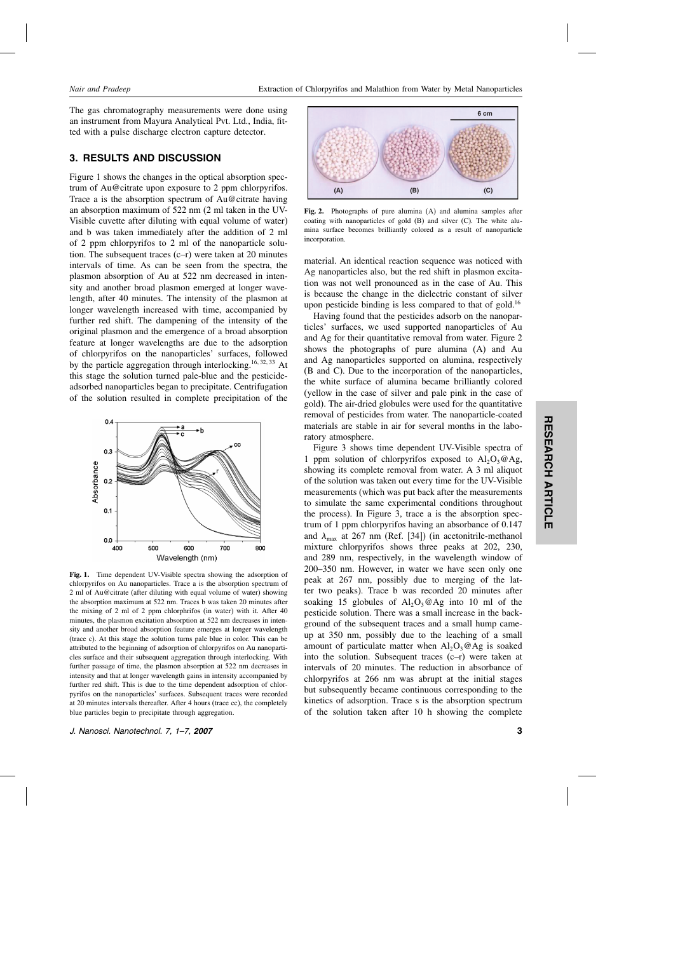The gas chromatography measurements were done using an instrument from Mayura Analytical Pvt.Ltd., India, fitted with a pulse discharge electron capture detector.

# 3. RESULTS AND DISCUSSION

Figure 1 shows the changes in the optical absorption spectrum of Au@citrate upon exposure to 2 ppm chlorpyrifos. Trace a is the absorption spectrum of Au@citrate having an absorption maximum of 522 nm (2 ml taken in the UV-Visible cuvette after diluting with equal volume of water) and b was taken immediately after the addition of 2 ml of 2 ppm chlorpyrifos to 2 ml of the nanoparticle solution. The subsequent traces  $(c-r)$  were taken at 20 minutes intervals of time. As can be seen from the spectra, the plasmon absorption of Au at 522 nm decreased in intensity and another broad plasmon emerged at longer wavelength, after 40 minutes.The intensity of the plasmon at longer wavelength increased with time, accompanied by further red shift. The dampening of the intensity of the original plasmon and the emergence of a broad absorption feature at longer wavelengths are due to the adsorption of chlorpyrifos on the nanoparticles' surfaces, followed by the particle aggregation through interlocking.<sup>16, 32, 33</sup> At this stage the solution turned pale-blue and the pesticideadsorbed nanoparticles began to precipitate.Centrifugation of the solution resulted in complete precipitation of the



Fig. 1. Time dependent UV-Visible spectra showing the adsorption of chlorpyrifos on Au nanoparticles.Trace a is the absorption spectrum of 2 ml of Au@citrate (after diluting with equal volume of water) showing the absorption maximum at 522 nm.Traces b was taken 20 minutes after the mixing of 2 ml of 2 ppm chlorphrifos (in water) with it.After 40 minutes, the plasmon excitation absorption at 522 nm decreases in intensity and another broad absorption feature emerges at longer wavelength (trace c).At this stage the solution turns pale blue in color.This can be attributed to the beginning of adsorption of chlorpyrifos on Au nanoparticles surface and their subsequent aggregation through interlocking. With further passage of time, the plasmon absorption at 522 nm decreases in intensity and that at longer wavelength gains in intensity accompanied by further red shift. This is due to the time dependent adsorption of chlorpyrifos on the nanoparticles' surfaces. Subsequent traces were recorded at 20 minutes intervals thereafter.After 4 hours (trace cc), the completely blue particles begin to precipitate through aggregation.



Fig. 2. Photographs of pure alumina (A) and alumina samples after coating with nanoparticles of gold  $(B)$  and silver  $(C)$ . The white alumina surface becomes brilliantly colored as a result of nanoparticle incorporation.

material.An identical reaction sequence was noticed with Ag nanoparticles also, but the red shift in plasmon excitation was not well pronounced as in the case of Au.This is because the change in the dielectric constant of silver upon pesticide binding is less compared to that of gold.<sup>16</sup>

Having found that the pesticides adsorb on the nanoparticles' surfaces, we used supported nanoparticles of Au and Ag for their quantitative removal from water. Figure 2 shows the photographs of pure alumina (A) and Au and Ag nanoparticles supported on alumina, respectively (B and C).Due to the incorporation of the nanoparticles, the white surface of alumina became brilliantly colored (yellow in the case of silver and pale pink in the case of gold).The air-dried globules were used for the quantitative removal of pesticides from water.The nanoparticle-coated materials are stable in air for several months in the laboratory atmosphere.

Figure 3 shows time dependent UV-Visible spectra of 1 ppm solution of chlorpyrifos exposed to  $Al_2O_3@Ag$ , showing its complete removal from water.A 3 ml aliquot of the solution was taken out every time for the UV-Visible measurements (which was put back after the measurements to simulate the same experimental conditions throughout the process).In Figure 3, trace a is the absorption spectrum of 1 ppm chlorpyrifos having an absorbance of 0.147 and  $\lambda_{\text{max}}$  at 267 nm (Ref. [34]) (in acetonitrile-methanol mixture chlorpyrifos shows three peaks at 202, 230, and 289 nm, respectively, in the wavelength window of 200–350 nm.However, in water we have seen only one peak at 267 nm, possibly due to merging of the latter two peaks). Trace b was recorded 20 minutes after soaking 15 globules of  $Al_2O_3@Ag$  into 10 ml of the pesticide solution.There was a small increase in the background of the subsequent traces and a small hump cameup at 350 nm, possibly due to the leaching of a small amount of particulate matter when  $Al_2O_3@Ag$  is soaked into the solution. Subsequent traces  $(c-r)$  were taken at intervals of 20 minutes. The reduction in absorbance of chlorpyrifos at 266 nm was abrupt at the initial stages but subsequently became continuous corresponding to the kinetics of adsorption.Trace s is the absorption spectrum of the solution taken after 10 h showing the complete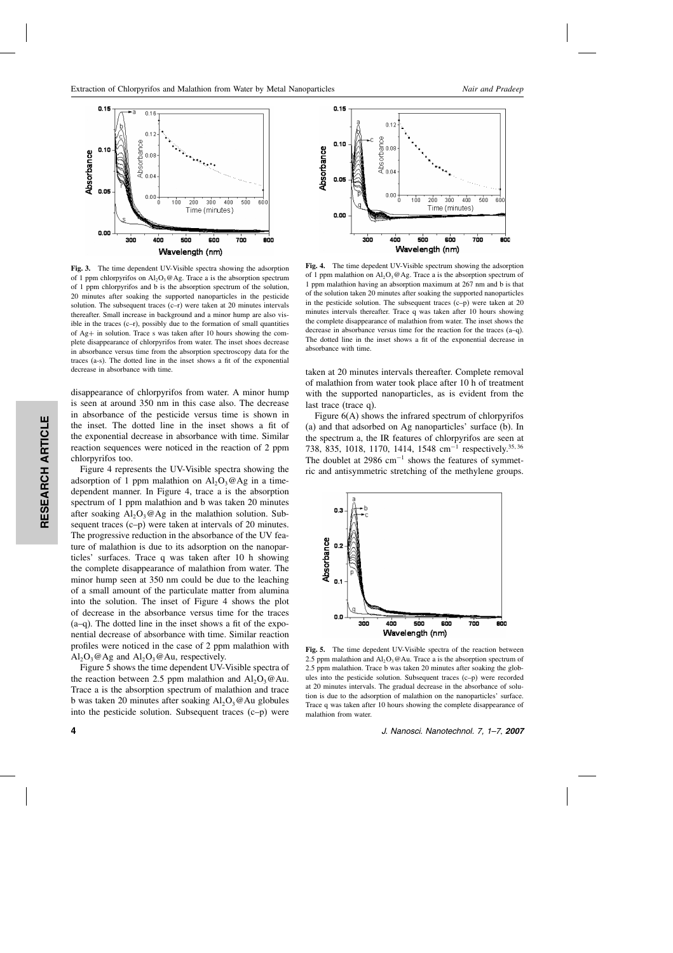

Fig. 3. The time dependent UV-Visible spectra showing the adsorption of 1 ppm chlorpyrifos on  $Al_2O_3@Ag$ . Trace a is the absorption spectrum of 1 ppm chlorpyrifos and b is the absorption spectrum of the solution, 20 minutes after soaking the supported nanoparticles in the pesticide solution. The subsequent traces  $(c-r)$  were taken at 20 minutes intervals thereafter.Small increase in background and a minor hump are also visible in the traces  $(c-r)$ , possibly due to the formation of small quantities of Ag+ in solution.Trace s was taken after 10 hours showing the complete disappearance of chlorpyrifos from water.The inset shoes decrease in absorbance versus time from the absorption spectroscopy data for the traces (a-s).The dotted line in the inset shows a fit of the exponential decrease in absorbance with time.

disappearance of chlorpyrifos from water. A minor hump is seen at around 350 nm in this case also. The decrease in absorbance of the pesticide versus time is shown in the inset.The dotted line in the inset shows a fit of the exponential decrease in absorbance with time. Similar reaction sequences were noticed in the reaction of 2 ppm chlorpyrifos too.

Figure 4 represents the UV-Visible spectra showing the adsorption of 1 ppm malathion on  $Al_2O_3@Ag$  in a timedependent manner.In Figure 4, trace a is the absorption spectrum of 1 ppm malathion and b was taken 20 minutes after soaking  $Al_2O_3@Ag$  in the malathion solution. Subsequent traces (c–p) were taken at intervals of 20 minutes. The progressive reduction in the absorbance of the UV feature of malathion is due to its adsorption on the nanoparticles' surfaces.Trace q was taken after 10 h showing the complete disappearance of malathion from water.The minor hump seen at 350 nm could be due to the leaching of a small amount of the particulate matter from alumina into the solution.The inset of Figure 4 shows the plot of decrease in the absorbance versus time for the traces  $(a-q)$ . The dotted line in the inset shows a fit of the exponential decrease of absorbance with time.Similar reaction profiles were noticed in the case of 2 ppm malathion with  $Al_2O_3@Ag$  and  $Al_2O_3@Au$ , respectively.

Figure 5 shows the time dependent UV-Visible spectra of the reaction between 2.5 ppm malathion and  $Al_2O_3@Au$ . Trace a is the absorption spectrum of malathion and trace b was taken 20 minutes after soaking  $Al_2O_3@Au$  globules into the pesticide solution. Subsequent traces  $(c-p)$  were



Fig. 4. The time depedent UV-Visible spectrum showing the adsorption of 1 ppm malathion on  $A1_2O_3@Ag$ . Trace a is the absorption spectrum of 1 ppm malathion having an absorption maximum at 267 nm and b is that of the solution taken 20 minutes after soaking the supported nanoparticles in the pesticide solution. The subsequent traces  $(c-p)$  were taken at 20 minutes intervals thereafter. Trace q was taken after 10 hours showing the complete disappearance of malathion from water.The inset shows the decrease in absorbance versus time for the reaction for the traces (a–q). The dotted line in the inset shows a fit of the exponential decrease in absorbance with time.

taken at 20 minutes intervals thereafter. Complete removal of malathion from water took place after 10 h of treatment with the supported nanoparticles, as is evident from the last trace (trace q).

Figure 6(A) shows the infrared spectrum of chlorpyrifos (a) and that adsorbed on Ag nanoparticles' surface (b).In the spectrum a, the IR features of chlorpyrifos are seen at 738, 835, 1018, 1170, 1414, 1548 cm<sup>-1</sup> respectively.<sup>35, 36</sup> The doublet at 2986  $cm^{-1}$  shows the features of symmetric and antisymmetric stretching of the methylene groups.



Fig. 5. The time depedent UV-Visible spectra of the reaction between 2.5 ppm malathion and  $Al_2O_3@Au$ . Trace a is the absorption spectrum of 2.5 ppm malathion. Trace b was taken 20 minutes after soaking the globules into the pesticide solution. Subsequent traces  $(c-p)$  were recorded at 20 minutes intervals.The gradual decrease in the absorbance of solution is due to the adsorption of malathion on the nanoparticles' surface. Trace q was taken after 10 hours showing the complete disappearance of malathion from water.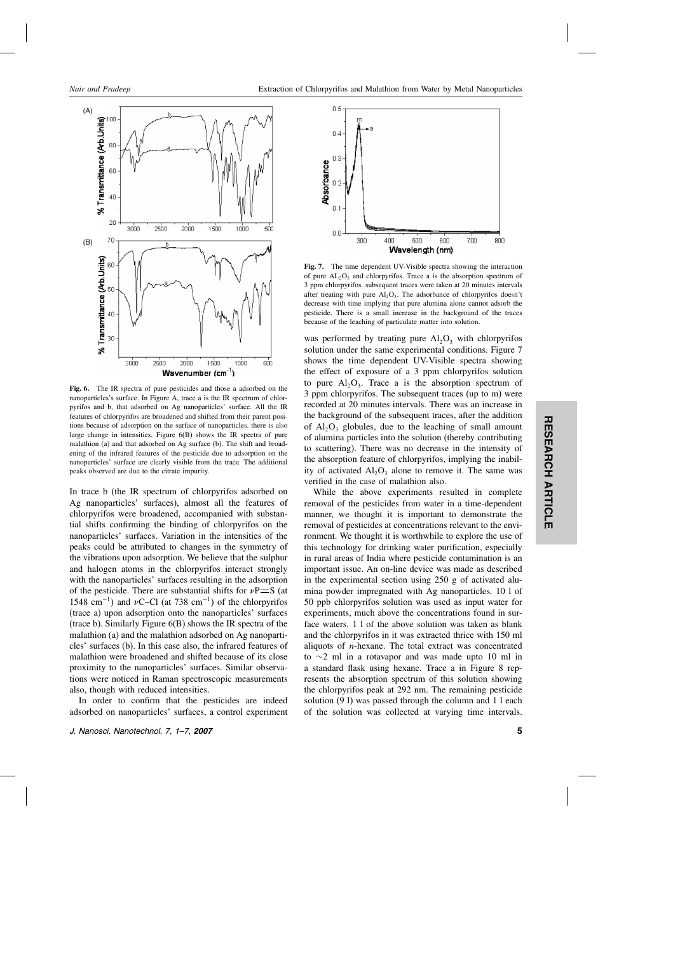

Fig. 6. The IR spectra of pure pesticides and those a adsorbed on the nanoparticles's surface.In Figure A, trace a is the IR spectrum of chlorpyrifos and b, that adsorbed on Ag nanoparticles' surface.All the IR features of chlorpyrifos are broadened and shifted from their parent positions because of adsorption on the surface of nanoparticles. there is also large change in intensities. Figure  $6(B)$  shows the IR spectra of pure malathion (a) and that adsorbed on Ag surface (b). The shift and broadening of the infrared features of the pesticide due to adsorption on the nanoparticles' surface are clearly visible from the trace.The additional peaks observed are due to the citrate impurity.

In trace b (the IR spectrum of chlorpyrifos adsorbed on Ag nanoparticles' surfaces), almost all the features of chlorpyrifos were broadened, accompanied with substantial shifts confirming the binding of chlorpyrifos on the nanoparticles' surfaces.Variation in the intensities of the peaks could be attributed to changes in the symmetry of the vibrations upon adsorption.We believe that the sulphur and halogen atoms in the chlorpyrifos interact strongly with the nanoparticles' surfaces resulting in the adsorption of the pesticide. There are substantial shifts for  $\nu P = S$  (at 1548 cm<sup>-1</sup>) and vC–Cl (at 738 cm<sup>-1</sup>) of the chlorpyrifos (trace a) upon adsorption onto the nanoparticles' surfaces (trace b). Similarly Figure  $6(B)$  shows the IR spectra of the malathion (a) and the malathion adsorbed on Ag nanoparticles' surfaces (b).In this case also, the infrared features of malathion were broadened and shifted because of its close proximity to the nanoparticles' surfaces. Similar observations were noticed in Raman spectroscopic measurements also, though with reduced intensities.

In order to confirm that the pesticides are indeed adsorbed on nanoparticles' surfaces, a control experiment



Fig. 7. The time dependent UV-Visible spectra showing the interaction of pure  $AL_2O_3$  and chlorpyrifos. Trace a is the absorption spectrum of 3 ppm chlorpyrifos.subsequent traces were taken at 20 minutes intervals after treating with pure  $AI_2O_3$ . The adsorbance of chlorpyrifos doesn't decrease with time implying that pure alumina alone cannot adsorb the pesticide.There is a small increase in the background of the traces because of the leaching of particulate matter into solution.

was performed by treating pure  $Al_2O_3$  with chlorpyrifos solution under the same experimental conditions. Figure 7 shows the time dependent UV-Visible spectra showing the effect of exposure of a 3 ppm chlorpyrifos solution to pure  $Al_2O_3$ . Trace a is the absorption spectrum of 3 ppm chlorpyrifos.The subsequent traces (up to m) were recorded at 20 minutes intervals.There was an increase in the background of the subsequent traces, after the addition of  $Al_2O_3$  globules, due to the leaching of small amount of alumina particles into the solution (thereby contributing to scattering).There was no decrease in the intensity of the absorption feature of chlorpyrifos, implying the inability of activated  $Al_2O_3$  alone to remove it. The same was verified in the case of malathion also.

While the above experiments resulted in complete removal of the pesticides from water in a time-dependent manner, we thought it is important to demonstrate the removal of pesticides at concentrations relevant to the environment.We thought it is worthwhile to explore the use of this technology for drinking water purification, especially in rural areas of India where pesticide contamination is an important issue.An on-line device was made as described in the experimental section using 250 g of activated alumina powder impregnated with Ag nanoparticles.10 l of 50 ppb chlorpyrifos solution was used as input water for experiments, much above the concentrations found in surface waters.1 l of the above solution was taken as blank and the chlorpyrifos in it was extracted thrice with 150 ml aliquots of  $n$ -hexane. The total extract was concentrated to ∼2 ml in a rotavapor and was made upto 10 ml in a standard flask using hexane.Trace a in Figure 8 represents the absorption spectrum of this solution showing the chlorpyrifos peak at 292 nm. The remaining pesticide solution (9 l) was passed through the column and 1 l each of the solution was collected at varying time intervals.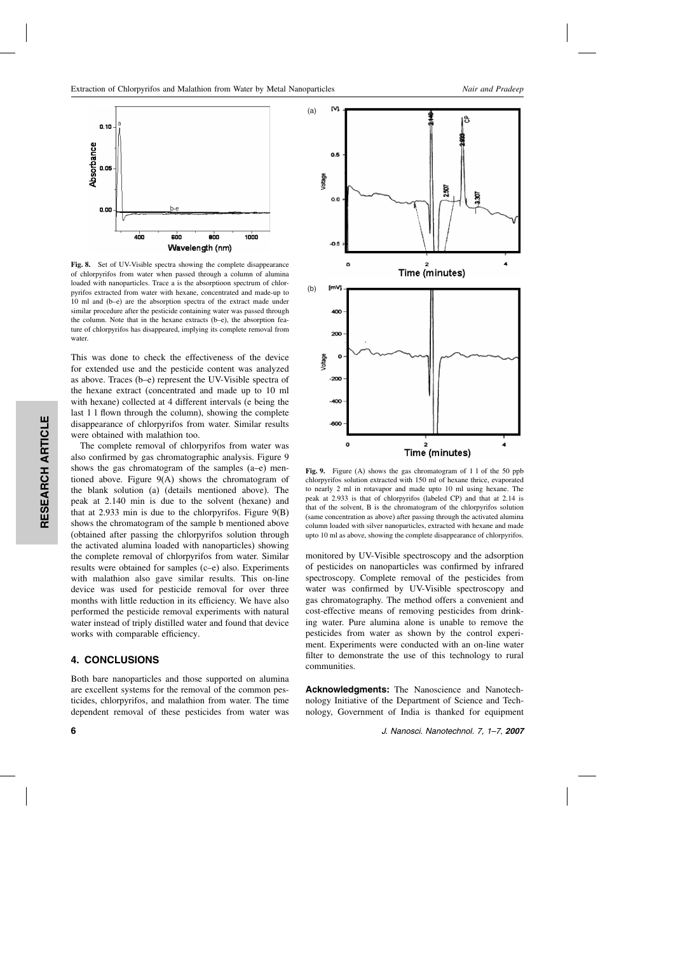

Fig. 8. Set of UV-Visible spectra showing the complete disappearance of chlorpyrifos from water when passed through a column of alumina loaded with nanoparticles. Trace a is the absorptioon spectrum of chlorpyrifos extracted from water with hexane, concentrated and made-up to 10 ml and (b–e) are the absorption spectra of the extract made under similar procedure after the pesticide containing water was passed through the column. Note that in the hexane extracts  $(b-e)$ , the absorption feature of chlorpyrifos has disappeared, implying its complete removal from water.

This was done to check the effectiveness of the device for extended use and the pesticide content was analyzed as above.Traces (b–e) represent the UV-Visible spectra of the hexane extract (concentrated and made up to 10 ml with hexane) collected at 4 different intervals (e being the last 1 l flown through the column), showing the complete disappearance of chlorpyrifos from water. Similar results were obtained with malathion too.

The complete removal of chlorpyrifos from water was also confirmed by gas chromatographic analysis. Figure 9 shows the gas chromatogram of the samples (a–e) mentioned above. Figure  $9(A)$  shows the chromatogram of the blank solution (a) (details mentioned above).The peak at 2.140 min is due to the solvent (hexane) and that at 2.933 min is due to the chlorpyrifos. Figure  $9(B)$ shows the chromatogram of the sample b mentioned above (obtained after passing the chlorpyrifos solution through the activated alumina loaded with nanoparticles) showing the complete removal of chlorpyrifos from water.Similar results were obtained for samples  $(c-e)$  also. Experiments with malathion also gave similar results. This on-line device was used for pesticide removal for over three months with little reduction in its efficiency.We have also performed the pesticide removal experiments with natural water instead of triply distilled water and found that device works with comparable efficiency.

#### 4. CONCLUSIONS

Both bare nanoparticles and those supported on alumina are excellent systems for the removal of the common pesticides, chlorpyrifos, and malathion from water.The time dependent removal of these pesticides from water was



Fig. 9. Figure (A) shows the gas chromatogram of 1 l of the 50 ppb chlorpyrifos solution extracted with 150 ml of hexane thrice, evaporated to nearly 2 ml in rotavapor and made upto 10 ml using hexane.The peak at 2.933 is that of chlorpyrifos (labeled CP) and that at 2.14 is that of the solvent, B is the chromatogram of the chlorpyrifos solution (same concentration as above) after passing through the activated alumina column loaded with silver nanoparticles, extracted with hexane and made upto 10 ml as above, showing the complete disappearance of chlorpyrifos.

monitored by UV-Visible spectroscopy and the adsorption of pesticides on nanoparticles was confirmed by infrared spectroscopy. Complete removal of the pesticides from water was confirmed by UV-Visible spectroscopy and gas chromatography.The method offers a convenient and cost-effective means of removing pesticides from drinking water. Pure alumina alone is unable to remove the pesticides from water as shown by the control experiment.Experiments were conducted with an on-line water filter to demonstrate the use of this technology to rural communities.

Acknowledgments: The Nanoscience and Nanotechnology Initiative of the Department of Science and Technology, Government of India is thanked for equipment